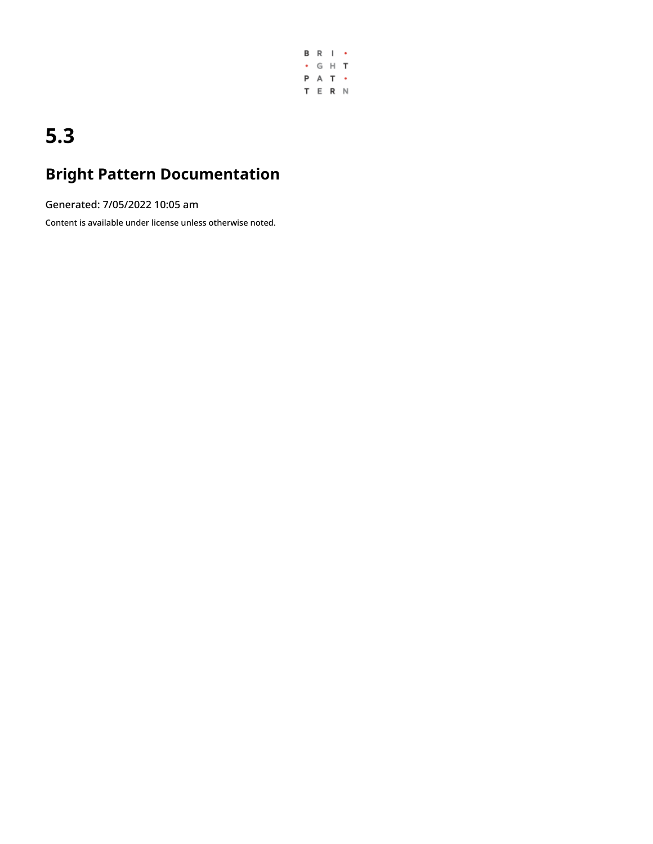

# **5.3**

## **Bright Pattern Documentation**

Generated: 7/05/2022 10:05 am

Content is available under license unless otherwise noted.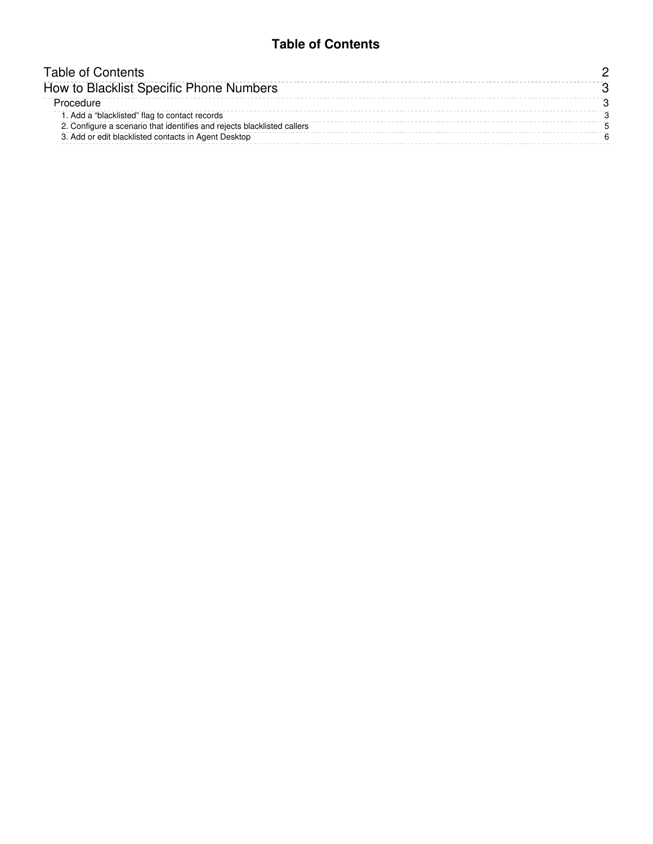### **Table of Contents**

<span id="page-1-0"></span>

| Table of Contents                                                       |  |
|-------------------------------------------------------------------------|--|
| How to Blacklist Specific Phone Numbers                                 |  |
| Procedure                                                               |  |
| 1. Add a "blacklisted" flag to contact records                          |  |
| 2. Configure a scenario that identifies and rejects blacklisted callers |  |
| 3. Add or edit blacklisted contacts in Agent Desktop                    |  |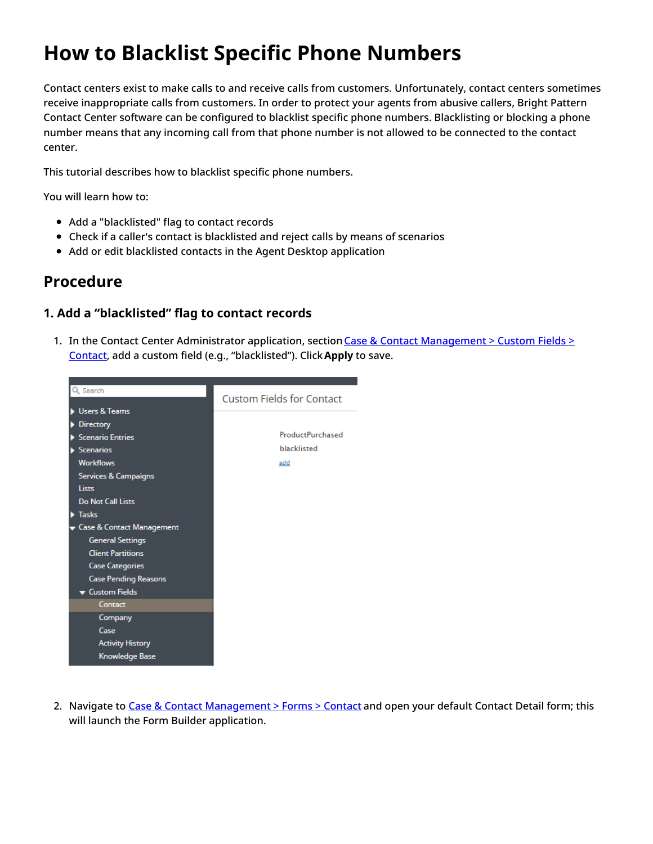## <span id="page-2-0"></span>**How to Blacklist Specific Phone Numbers**

Contact centers exist to make calls to and receive calls from customers. Unfortunately, contact centers sometimes receive inappropriate calls from customers. In order to protect your agents from abusive callers, Bright Pattern Contact Center software can be configured to blacklist specific phone numbers. Blacklisting or blocking a phone number means that any incoming call from that phone number is not allowed to be connected to the contact center.

This tutorial describes how to blacklist specific phone numbers.

You will learn how to:

- Add a "blacklisted" flag to contact records
- Check if a caller's contact is blacklisted and reject calls by means of scenarios
- Add or edit blacklisted contacts in the Agent Desktop application

## <span id="page-2-1"></span>**Procedure**

### <span id="page-2-2"></span>**1. Add a "blacklisted" flag to contact records**

1. In the Contact Center [Administrator](https://help.brightpattern.com/5.3:Contact-center-administrator-guide/CaseandContactManagement/CustomFields#Contact) application, section Case & Contact Management > Custom Fields > Contact, add a custom field (e.g., "blacklisted"). Click**Apply** to save.



2. Navigate to Case & Contact [Management](https://help.brightpattern.com/5.3:Scenario-builder-reference-guide/Exercises/HowtoCreateaVoiceScenarioThatBlocksSpecificIncomingPhoneNumbers/?action=html-localimages-export#topic_contact-center-administrator-guide.2Fcaseandcontactmanagement.2Fforms.2Fcontact) > Forms > Contact and open your default Contact Detail form; this will launch the Form Builder application.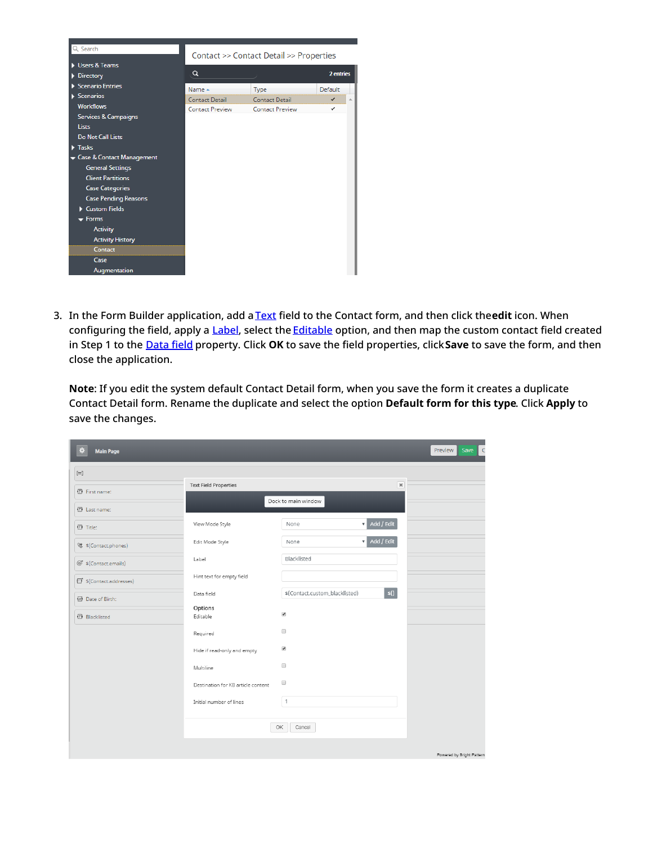

3. In the Form Builder application, add a [Text](https://help.brightpattern.com/5.3:Scenario-builder-reference-guide/Exercises/HowtoCreateaVoiceScenarioThatBlocksSpecificIncomingPhoneNumbers/?action=html-localimages-export#topic_form-builder-reference-guide.2Ftext) field to the Contact form, and then click the**edit** icon. When configuring the field, apply a [Label](https://help.brightpattern.com/5.3:Form-builder-reference-guide/Text#Label), select the [Editable](https://help.brightpattern.com/5.3:Form-builder-reference-guide/Text#Editable) option, and then map the custom contact field created in Step 1 to the [Data](https://help.brightpattern.com/5.3:Form-builder-reference-guide/Text#Data_field) field property. Click **OK** to save the field properties, click**Save** to save the form, and then close the application.

**Note**: If you edit the system default Contact Detail form, when you save the form it creates a duplicate Contact Detail form. Rename the duplicate and select the option **Default form for this type**. Click **Apply** to save the changes.

| 作<br><b>Main Page</b>             |                                    |                                |                           | Preview<br>Save<br>$\subset$ |
|-----------------------------------|------------------------------------|--------------------------------|---------------------------|------------------------------|
| $[$                               |                                    |                                |                           |                              |
| <b>图</b> First name:              | <b>Text Field Properties</b>       |                                | $\pmb{\times}$            |                              |
| <b>ED</b> Last name:              |                                    | Dock to main window            |                           |                              |
| ① Title:                          | View Mode Style                    | None                           | $\overline{v}$ Add / Edit |                              |
| <sup>(%</sup> \$(Contact.phones)  | Edit Mode Style                    | None                           | $\overline{v}$ Add / Edit |                              |
| @ <sup>*</sup> \$(Contact.emails) | Label                              | Blacklisted                    |                           |                              |
| 5 \$(Contact.addresses)           | Hint text for empty field          |                                |                           |                              |
| <b>四</b> Date of Birth:           | Data field                         | \$(Contact.custom_blacklisted) | s()                       |                              |
| <b>图 Blacklisted</b>              | Options<br>Editable                | $\blacktriangledown$           |                           |                              |
|                                   | Required                           | $\qquad \qquad \Box$           |                           |                              |
|                                   | Hide if read-only and empty        | $\blacktriangledown$           |                           |                              |
|                                   | Multiline                          | $\qquad \qquad \Box$           |                           |                              |
|                                   | Destination for KB article content | $\Box$                         |                           |                              |
|                                   | Initial number of lines            | $\mathbf{1}$                   |                           |                              |
|                                   |                                    | OK<br>Cancel                   |                           |                              |
|                                   |                                    |                                |                           |                              |
|                                   |                                    |                                |                           | Powered by Bright Pattern    |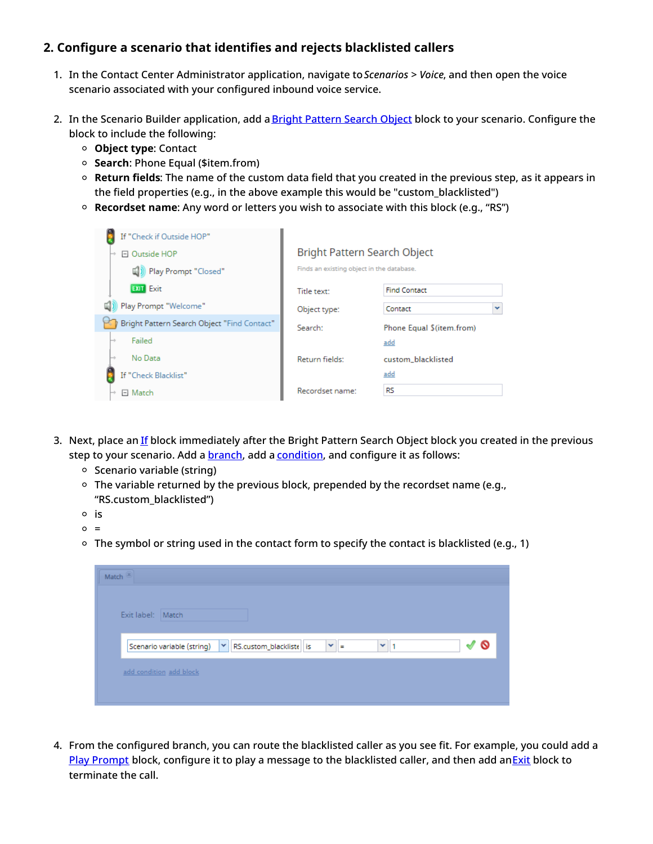## <span id="page-4-0"></span>**2. Configure a scenario that identifies and rejects blacklisted callers**

- 1. In the Contact Center Administrator application, navigate to*Scenarios > Voice*, and then open the voice scenario associated with your configured inbound voice service.
- 2. In the Scenario Builder application, add a Bright [Pattern](https://help.brightpattern.com/5.3:Scenario-builder-reference-guide/Exercises/HowtoCreateaVoiceScenarioThatBlocksSpecificIncomingPhoneNumbers/?action=html-localimages-export#topic_scenario-builder-reference-guide.2Fscenarioblocks.2Fbrightpatternsearchobject) Search Object block to your scenario. Configure the block to include the following:
	- **Object type**: Contact
	- **Search**: Phone Equal (\$item.from)
	- **Return fields**: The name of the custom data field that you created in the previous step, as it appears in the field properties (e.g., in the above example this would be "custom\_blacklisted")
	- **Recordset name**: Any word or letters you wish to associate with this block (e.g., "RS")

| If "Check if Outside HOP"<br>□ Outside HOP  | Bright Pattern Search Object              |                          |
|---------------------------------------------|-------------------------------------------|--------------------------|
| <sup>[1</sup> ]) Play Prompt "Closed"       | Finds an existing object in the database. |                          |
| <b>EXIT Exit</b>                            | Title text:                               | <b>Find Contact</b>      |
| Play Prompt "Welcome"                       | Object type:                              | Contact                  |
| Bright Pattern Search Object "Find Contact" | Search:                                   | Phone Equal S(item.from) |
| Failed                                      |                                           | add                      |
| No Data                                     | Return fields:                            | custom_blacklisted       |
| If "Check Blacklist"                        |                                           | add                      |
| $\boxdot$ Match                             | Recordset name:                           | RS.                      |

- 3. Next, place an [If](https://help.brightpattern.com/5.3:Scenario-builder-reference-guide/Exercises/HowtoCreateaVoiceScenarioThatBlocksSpecificIncomingPhoneNumbers/?action=html-localimages-export#topic_scenario-builder-reference-guide.2Fscenarioblocks.2Fif) block immediately after the Bright Pattern Search Object block you created in the previous step to your scenario. Add a **[branch](https://help.brightpattern.com/5.3:Scenario-builder-reference-guide/ScenarioBlocks/If#Branches_and_Conditions)**, add a **[condition](https://help.brightpattern.com/5.3:Scenario-builder-reference-guide/ScenarioBlocks/If#Branches_and_Conditions)**, and configure it as follows:
	- $\circ$  Scenario variable (string)
	- The variable returned by the previous block, prepended by the recordset name (e.g., "RS.custom\_blacklisted")
	- $\circ$  is
	- $\circ$  =
	- $\circ$  The symbol or string used in the contact form to specify the contact is blacklisted (e.g., 1)

| Exit label: Match<br>$\mathbf{v}$ =<br>′ യ<br>$\mathbf{v}$ RS.custom_blackliste is<br>Scenario variable (string)<br>$\checkmark$<br>ᢦ | Match $(x)$             |  |  |
|---------------------------------------------------------------------------------------------------------------------------------------|-------------------------|--|--|
|                                                                                                                                       |                         |  |  |
|                                                                                                                                       |                         |  |  |
|                                                                                                                                       |                         |  |  |
|                                                                                                                                       | add condition add block |  |  |

4. From the configured branch, you can route the blacklisted caller as you see fit. For example, you could add a Play [Prompt](https://help.brightpattern.com/5.3:Scenario-builder-reference-guide/Exercises/HowtoCreateaVoiceScenarioThatBlocksSpecificIncomingPhoneNumbers/?action=html-localimages-export#topic_scenario-builder-reference-guide.2Fscenarioblocks.2Fplayprompt) block, configure it to play a message to the blacklisted caller, and then add a[nExit](https://help.brightpattern.com/5.3:Scenario-builder-reference-guide/Exercises/HowtoCreateaVoiceScenarioThatBlocksSpecificIncomingPhoneNumbers/?action=html-localimages-export#topic_scenario-builder-reference-guide.2Fscenarioblocks.2Fexit) block to terminate the call.